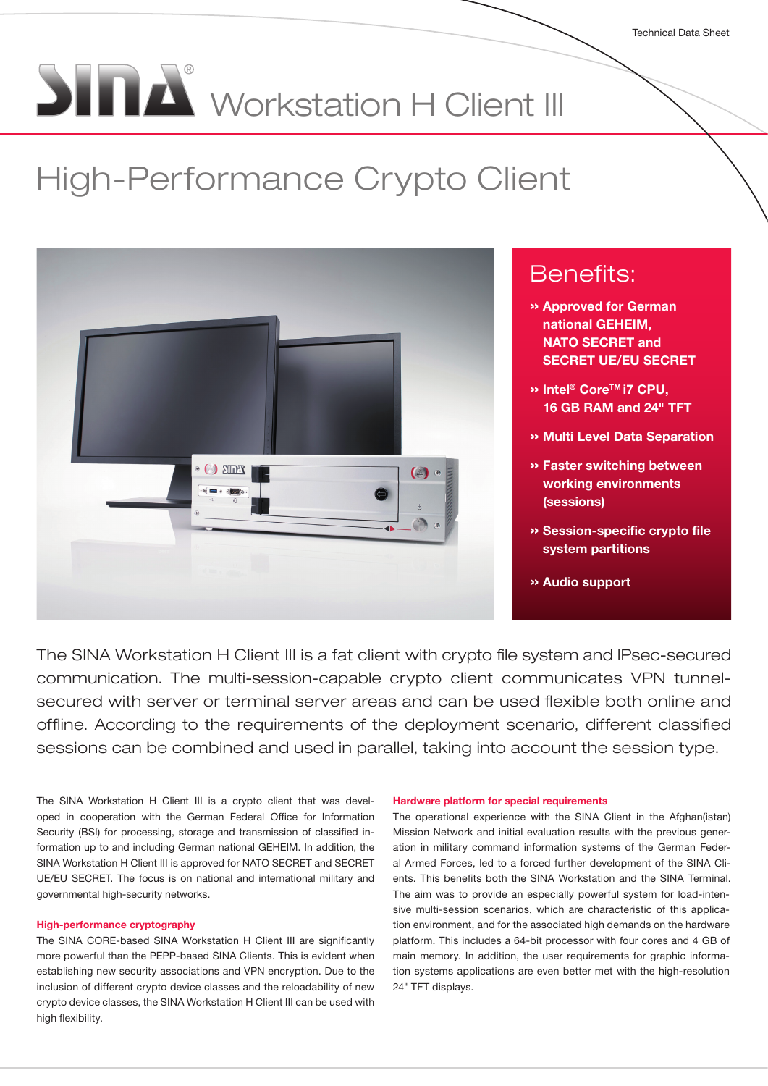# **SINA** Workstation H Client III

# High-Performance Crypto Client



# Benefits:

- » Approved for German national GEHEIM, NATO SECRET and SECRET UE/EU SECRET
- » Intel® CoreTM i7 CPU, 16 GB RAM and 24" TFT
- » Multi Level Data Separation
- » Faster switching between working environments (sessions)
- » Session-specific crypto file system partitions
- » Audio support

The SINA Workstation H Client III is a fat client with crypto file system and IPsec-secured communication. The multi-session-capable crypto client communicates VPN tunnelsecured with server or terminal server areas and can be used flexible both online and offline. According to the requirements of the deployment scenario, different classified sessions can be combined and used in parallel, taking into account the session type.

The SINA Workstation H Client III is a crypto client that was developed in cooperation with the German Federal Office for Information Security (BSI) for processing, storage and transmission of classified information up to and including German national GEHEIM. In addition, the SINA Workstation H Client III is approved for NATO SECRET and SECRET UE/EU SECRET. The focus is on national and international military and governmental high-security networks.

#### High-performance cryptography

The SINA CORE-based SINA Workstation H Client III are significantly more powerful than the PEPP-based SINA Clients. This is evident when establishing new security associations and VPN encryption. Due to the inclusion of different crypto device classes and the reloadability of new crypto device classes, the SINA Workstation H Client III can be used with high flexibility.

#### Hardware platform for special requirements

The operational experience with the SINA Client in the Afghan(istan) Mission Network and initial evaluation results with the previous generation in military command information systems of the German Federal Armed Forces, led to a forced further development of the SINA Clients. This benefits both the SINA Workstation and the SINA Terminal. The aim was to provide an especially powerful system for load-intensive multi-session scenarios, which are characteristic of this application environment, and for the associated high demands on the hardware platform. This includes a 64-bit processor with four cores and 4 GB of main memory. In addition, the user requirements for graphic information systems applications are even better met with the high-resolution 24" TFT displays.